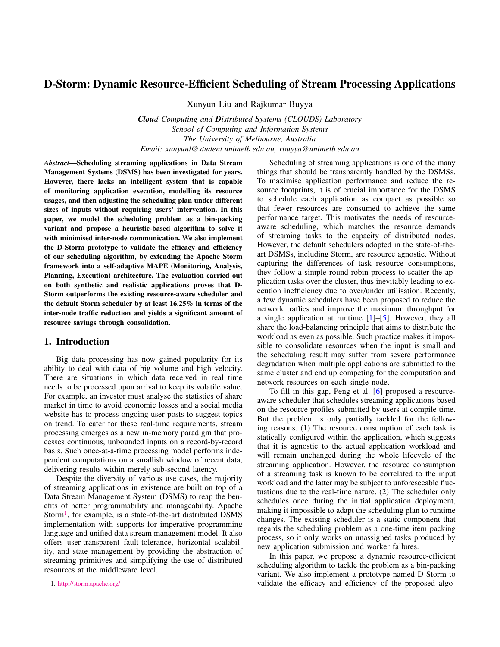# D-Storm: Dynamic Resource-Efficient Scheduling of Stream Processing Applications

Xunyun Liu and Rajkumar Buyya

*Cloud Computing and Distributed Systems (CLOUDS) Laboratory School of Computing and Information Systems The University of Melbourne, Australia Email: xunyunl@student.unimelb.edu.au, rbuyya@unimelb.edu.au*

*Abstract*—Scheduling streaming applications in Data Stream Management Systems (DSMS) has been investigated for years. However, there lacks an intelligent system that is capable of monitoring application execution, modelling its resource usages, and then adjusting the scheduling plan under different sizes of inputs without requiring users' intervention. In this paper, we model the scheduling problem as a bin-packing variant and propose a heuristic-based algorithm to solve it with minimised inter-node communication. We also implement the D-Storm prototype to validate the efficacy and efficiency of our scheduling algorithm, by extending the Apache Storm framework into a self-adaptive MAPE (Monitoring, Analysis, Planning, Execution) architecture. The evaluation carried out on both synthetic and realistic applications proves that D-Storm outperforms the existing resource-aware scheduler and the default Storm scheduler by at least 16.25% in terms of the inter-node traffic reduction and yields a significant amount of resource savings through consolidation.

# <span id="page-0-1"></span>1. Introduction

Big data processing has now gained popularity for its ability to deal with data of big volume and high velocity. There are situations in which data received in real time needs to be processed upon arrival to keep its volatile value. For example, an investor must analyse the statistics of share market in time to avoid economic losses and a social media website has to process ongoing user posts to suggest topics on trend. To cater for these real-time requirements, stream processing emerges as a new in-memory paradigm that processes continuous, unbounded inputs on a record-by-record basis. Such once-at-a-time processing model performs independent computations on a smallish window of recent data, delivering results within merely sub-second latency.

Despite the diversity of various use cases, the majority of streaming applications in existence are built on top of a Data Stream Management System (DSMS) to reap the benefits of better programmability and manageability. Apache Storm<sup>[1](#page-0-0)</sup>, for example, is a state-of-the-art distributed DSMS implementation with supports for imperative programming language and unified data stream management model. It also offers user-transparent fault-tolerance, horizontal scalability, and state management by providing the abstraction of streaming primitives and simplifying the use of distributed resources at the middleware level.

<span id="page-0-0"></span>1. <http://storm.apache.org/>

Scheduling of streaming applications is one of the many things that should be transparently handled by the DSMSs. To maximise application performance and reduce the resource footprints, it is of crucial importance for the DSMS to schedule each application as compact as possible so that fewer resources are consumed to achieve the same performance target. This motivates the needs of resourceaware scheduling, which matches the resource demands of streaming tasks to the capacity of distributed nodes. However, the default schedulers adopted in the state-of-theart DSMSs, including Storm, are resource agnostic. Without capturing the differences of task resource consumptions, they follow a simple round-robin process to scatter the application tasks over the cluster, thus inevitably leading to execution inefficiency due to over/under utilisation. Recently, a few dynamic schedulers have been proposed to reduce the network traffics and improve the maximum throughput for a single application at runtime [\[1\]](#page-7-0)–[\[5\]](#page-7-1). However, they all share the load-balancing principle that aims to distribute the workload as even as possible. Such practice makes it impossible to consolidate resources when the input is small and the scheduling result may suffer from severe performance degradation when multiple applications are submitted to the same cluster and end up competing for the computation and network resources on each single node.

To fill in this gap, Peng et al. [\[6\]](#page-7-2) proposed a resourceaware scheduler that schedules streaming applications based on the resource profiles submitted by users at compile time. But the problem is only partially tackled for the following reasons. (1) The resource consumption of each task is statically configured within the application, which suggests that it is agnostic to the actual application workload and will remain unchanged during the whole lifecycle of the streaming application. However, the resource consumption of a streaming task is known to be correlated to the input workload and the latter may be subject to unforeseeable fluctuations due to the real-time nature. (2) The scheduler only schedules once during the initial application deployment, making it impossible to adapt the scheduling plan to runtime changes. The existing scheduler is a static component that regards the scheduling problem as a one-time item packing process, so it only works on unassigned tasks produced by new application submission and worker failures.

In this paper, we propose a dynamic resource-efficient scheduling algorithm to tackle the problem as a bin-packing variant. We also implement a prototype named D-Storm to validate the efficacy and efficiency of the proposed algo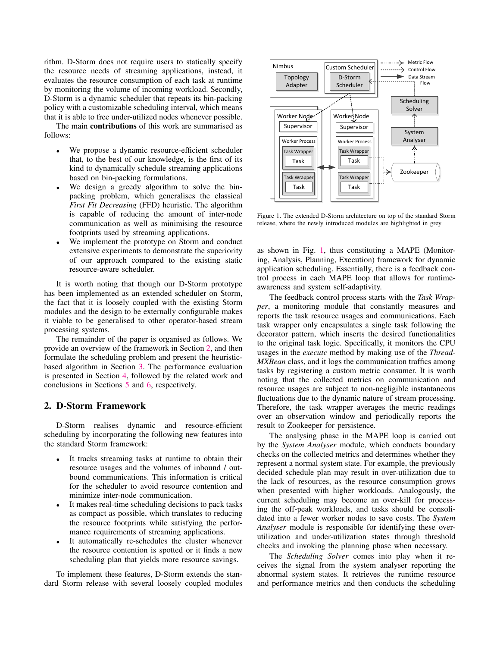rithm. D-Storm does not require users to statically specify the resource needs of streaming applications, instead, it evaluates the resource consumption of each task at runtime by monitoring the volume of incoming workload. Secondly, D-Storm is a dynamic scheduler that repeats its bin-packing policy with a customizable scheduling interval, which means that it is able to free under-utilized nodes whenever possible.

The main **contributions** of this work are summarised as follows:

- We propose a dynamic resource-efficient scheduler that, to the best of our knowledge, is the first of its kind to dynamically schedule streaming applications based on bin-packing formulations.
- We design a greedy algorithm to solve the binpacking problem, which generalises the classical *First Fit Decreasing* (FFD) heuristic. The algorithm is capable of reducing the amount of inter-node communication as well as minimising the resource footprints used by streaming applications.
- We implement the prototype on Storm and conduct extensive experiments to demonstrate the superiority of our approach compared to the existing static resource-aware scheduler.

It is worth noting that though our D-Storm prototype has been implemented as an extended scheduler on Storm, the fact that it is loosely coupled with the existing Storm modules and the design to be externally configurable makes it viable to be generalised to other operator-based stream processing systems.

The remainder of the paper is organised as follows. We provide an overview of the framework in Section [2,](#page-1-0) and then formulate the scheduling problem and present the heuristicbased algorithm in Section [3.](#page-2-0) The performance evaluation is presented in Section [4,](#page-3-0) followed by the related work and conclusions in Sections [5](#page-6-0) and [6,](#page-7-3) respectively.

## <span id="page-1-0"></span>2. D-Storm Framework

D-Storm realises dynamic and resource-efficient scheduling by incorporating the following new features into the standard Storm framework:

- It tracks streaming tasks at runtime to obtain their resource usages and the volumes of inbound / outbound communications. This information is critical for the scheduler to avoid resource contention and minimize inter-node communication.
- It makes real-time scheduling decisions to pack tasks as compact as possible, which translates to reducing the resource footprints while satisfying the performance requirements of streaming applications.
- It automatically re-schedules the cluster whenever the resource contention is spotted or it finds a new scheduling plan that yields more resource savings.

To implement these features, D-Storm extends the standard Storm release with several loosely coupled modules



<span id="page-1-1"></span>Figure 1. The extended D-Storm architecture on top of the standard Storm release, where the newly introduced modules are highlighted in grey

as shown in Fig. [1,](#page-1-1) thus constituting a MAPE (Monitoring, Analysis, Planning, Execution) framework for dynamic application scheduling. Essentially, there is a feedback control process in each MAPE loop that allows for runtimeawareness and system self-adaptivity.

The feedback control process starts with the *Task Wrapper*, a monitoring module that constantly measures and reports the task resource usages and communications. Each task wrapper only encapsulates a single task following the decorator pattern, which inserts the desired functionalities to the original task logic. Specifically, it monitors the CPU usages in the *execute* method by making use of the *Thread-MXBean* class, and it logs the communication traffics among tasks by registering a custom metric consumer. It is worth noting that the collected metrics on communication and resource usages are subject to non-negligible instantaneous fluctuations due to the dynamic nature of stream processing. Therefore, the task wrapper averages the metric readings over an observation window and periodically reports the result to Zookeeper for persistence.

The analysing phase in the MAPE loop is carried out by the *System Analyser* module, which conducts boundary checks on the collected metrics and determines whether they represent a normal system state. For example, the previously decided schedule plan may result in over-utilization due to the lack of resources, as the resource consumption grows when presented with higher workloads. Analogously, the current scheduling may become an over-kill for processing the off-peak workloads, and tasks should be consolidated into a fewer worker nodes to save costs. The *System Analyser* module is responsible for identifying these overutilization and under-utilization states through threshold checks and invoking the planning phase when necessary.

The *Scheduling Solver* comes into play when it receives the signal from the system analyser reporting the abnormal system states. It retrieves the runtime resource and performance metrics and then conducts the scheduling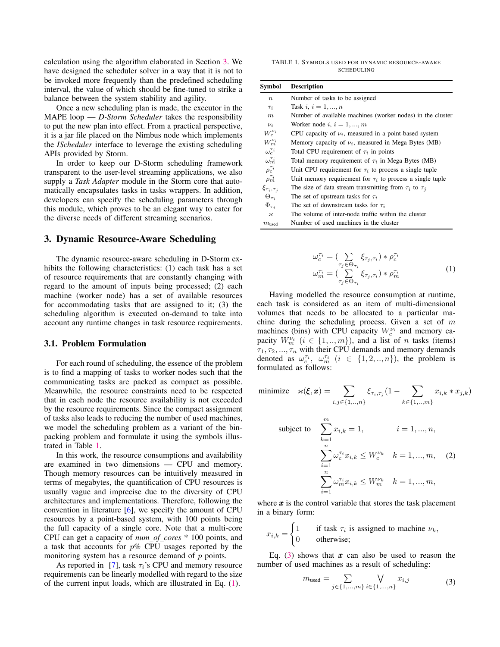calculation using the algorithm elaborated in Section [3.](#page-2-0) We have designed the scheduler solver in a way that it is not to be invoked more frequently than the predefined scheduling interval, the value of which should be fine-tuned to strike a balance between the system stability and agility.

Once a new scheduling plan is made, the executor in the MAPE loop — *D-Storm Scheduler* takes the responsibility to put the new plan into effect. From a practical perspective, it is a jar file placed on the Nimbus node which implements the *IScheduler* interface to leverage the existing scheduling APIs provided by Storm.

In order to keep our D-Storm scheduling framework transparent to the user-level streaming applications, we also supply a *Task Adapter* module in the Storm core that automatically encapsulates tasks in tasks wrappers. In addition, developers can specify the scheduling parameters through this module, which proves to be an elegant way to cater for the diverse needs of different streaming scenarios.

## <span id="page-2-0"></span>3. Dynamic Resource-Aware Scheduling

The dynamic resource-aware scheduling in D-Storm exhibits the following characteristics: (1) each task has a set of resource requirements that are constantly changing with regard to the amount of inputs being processed; (2) each machine (worker node) has a set of available resources for accommodating tasks that are assigned to it; (3) the scheduling algorithm is executed on-demand to take into account any runtime changes in task resource requirements.

#### 3.1. Problem Formulation

For each round of scheduling, the essence of the problem is to find a mapping of tasks to worker nodes such that the communicating tasks are packed as compact as possible. Meanwhile, the resource constraints need to be respected that in each node the resource availability is not exceeded by the resource requirements. Since the compact assignment of tasks also leads to reducing the number of used machines, we model the scheduling problem as a variant of the binpacking problem and formulate it using the symbols illustrated in Table [1.](#page-2-1)

In this work, the resource consumptions and availability are examined in two dimensions — CPU and memory. Though memory resources can be intuitively measured in terms of megabytes, the quantification of CPU resources is usually vague and imprecise due to the diversity of CPU architectures and implementations. Therefore, following the convention in literature  $[6]$ , we specify the amount of CPU resources by a point-based system, with 100 points being the full capacity of a single core. Note that a multi-core CPU can get a capacity of *num of cores* \* 100 points, and a task that accounts for  $p\%$  CPU usages reported by the monitoring system has a resource demand of  $p$  points.

As reported in [\[7\]](#page-7-4), task  $\tau_i$ 's CPU and memory resource requirements can be linearly modelled with regard to the size of the current input loads, which are illustrated in Eq. [\(1\)](#page-2-2).

<span id="page-2-1"></span>TABLE 1. SYMBOLS USED FOR DYNAMIC RESOURCE-AWARE **SCHEDULING** 

| Symbol                 | <b>Description</b>                                             |
|------------------------|----------------------------------------------------------------|
| $\boldsymbol{n}$       | Number of tasks to be assigned                                 |
| $\tau_i$               | Task <i>i</i> , $i = 1, , n$                                   |
| $\boldsymbol{m}$       | Number of available machines (worker nodes) in the cluster     |
| $\nu_i$                | Worker node i, $i = 1, , m$                                    |
| $W_c^{\nu_i}$          | CPU capacity of $\nu_i$ , measured in a point-based system     |
| $W_m^{\nu_i}$          | Memory capacity of $\nu_i$ , measured in Mega Bytes (MB)       |
| $\omega_c^{\tau_i}$    | Total CPU requirement of $\tau_i$ in points                    |
| $\omega_m^{\tau_i}$    | Total memory requirement of $\tau_i$ in Mega Bytes (MB)        |
| $\rho_c^{\tau_i}$      | Unit CPU requirement for $\tau_i$ to process a single tuple    |
| $\rho_m^{\tau_i}$      | Unit memory requirement for $\tau_i$ to process a single tuple |
| $\xi_{\tau_i, \tau_i}$ | The size of data stream transmitting from $\tau_i$ to $\tau_i$ |
| $\Theta_{\tau_i}$      | The set of upstream tasks for $\tau_i$                         |
| $\Phi_{\tau_i}$        | The set of downstream tasks for $\tau_i$                       |
| κ                      | The volume of inter-node traffic within the cluster            |
| $m_{used}$             | Number of used machines in the cluster                         |

<span id="page-2-2"></span>
$$
\omega_c^{\tau_i} = \left(\sum_{\tau_j \in \Theta_{\tau_i}} \xi_{\tau_j, \tau_i}\right) * \rho_c^{\tau_i}
$$
  

$$
\omega_m^{\tau_i} = \left(\sum_{\tau_j \in \Theta_{\tau_i}} \xi_{\tau_j, \tau_i}\right) * \rho_m^{\tau_i}
$$
 (1)

Having modelled the resource consumption at runtime, each task is considered as an item of multi-dimensional volumes that needs to be allocated to a particular machine during the scheduling process. Given a set of  $m$ machines (bins) with CPU capacity  $W_c^{\nu_i}$  and memory capacity  $W_m^{\nu_i}$   $(i \in \{1, ..., m\})$ , and a list of *n* tasks (items)  $\tau_1, \tau_2, ..., \tau_n$  with their CPU demands and memory demands denoted as  $\omega_c^{\tau_i}$ ,  $\omega_m^{\tau_i}$   $(i \in \{1, 2, ..., n\})$ , the problem is formulated as follows:

$$
\text{minimize} \quad \varkappa(\boldsymbol{\xi}, \boldsymbol{x}) = \sum_{i,j \in \{1,..,n\}} \xi_{\tau_i, \tau_j} (1 - \sum_{k \in \{1,..,m\}} x_{i,k} * x_{j,k})
$$

<span id="page-2-4"></span>subject to 
$$
\sum_{k=1}^{m} x_{i,k} = 1, \qquad i = 1, ..., n,
$$

$$
\sum_{i=1}^{n} \omega_c^{\tau_i} x_{i,k} \le W_c^{\nu_k} \quad k = 1, ..., m, \quad (2)
$$

$$
\sum_{i=1}^{n} \omega_m^{\tau_i} x_{i,k} \le W_m^{\nu_k} \quad k = 1, ..., m,
$$

where  $x$  is the control variable that stores the task placement in a binary form:

$$
x_{i,k} = \begin{cases} 1 & \text{if task } \tau_i \text{ is assigned to machine } \nu_k, \\ 0 & \text{otherwise}; \end{cases}
$$

Eq. [\(3\)](#page-2-3) shows that  $x$  can also be used to reason the number of used machines as a result of scheduling:

<span id="page-2-3"></span>
$$
m_{\text{used}} = \sum_{j \in \{1, \dots, m\}} \bigvee_{i \in \{1, \dots, n\}} x_{i,j} \tag{3}
$$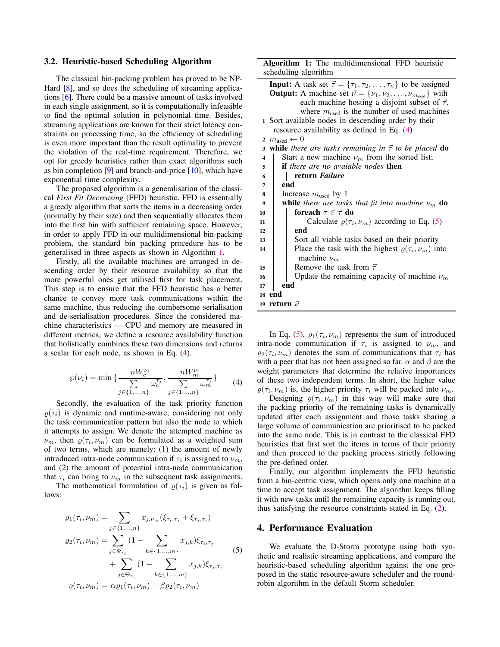## 3.2. Heuristic-based Scheduling Algorithm

The classical bin-packing problem has proved to be NP-Hard [\[8\]](#page-7-5), and so does the scheduling of streaming applications [\[6\]](#page-7-2). There could be a massive amount of tasks involved in each single assignment, so it is computationally infeasible to find the optimal solution in polynomial time. Besides, streaming applications are known for their strict latency constraints on processing time, so the efficiency of scheduling is even more important than the result optimality to prevent the violation of the real-time requirement. Therefore, we opt for greedy heuristics rather than exact algorithms such as bin completion  $[9]$  and branch-and-price  $[10]$ , which have exponential time complexity.

The proposed algorithm is a generalisation of the classical *First Fit Decreasing* (FFD) heuristic. FFD is essentially a greedy algorithm that sorts the items in a decreasing order (normally by their size) and then sequentially allocates them into the first bin with sufficient remaining space. However, in order to apply FFD in our multidimensional bin-packing problem, the standard bin packing procedure has to be generalised in three aspects as shown in Algorithm [1.](#page-3-1)

Firstly, all the available machines are arranged in descending order by their resource availability so that the more powerful ones get utilised first for task placement. This step is to ensure that the FFD heuristic has a better chance to convey more task communications within the same machine, thus reducing the cumbersome serialisation and de-serialisation procedures. Since the considered machine characteristics — CPU and memory are measured in different metrics, we define a resource availability function that holistically combines these two dimensions and returns a scalar for each node, as shown in Eq. [\(4\)](#page-3-2).

<span id="page-3-2"></span>
$$
\wp(\nu_i) = \min \{ \frac{nW_c^{\nu_i}}{\sum\limits_{j \in \{1, ..., n\}} \omega_c^{\tau_j}}, \frac{nW_m^{\nu_i}}{\sum\limits_{j \in \{1, ..., n\}} \omega_m^{\tau_j}} \}
$$
(4)

Secondly, the evaluation of the task priority function  $\rho(\tau_i)$  is dynamic and runtime-aware, considering not only the task communication pattern but also the node to which it attempts to assign. We denote the attempted machine as  $\nu_m$ , then  $\rho(\tau_i, \nu_m)$  can be formulated as a weighted sum of two terms, which are namely: (1) the amount of newly introduced intra-node communication if  $\tau_i$  is assigned to  $\nu_m$ , and (2) the amount of potential intra-node communication that  $\tau_i$  can bring to  $\nu_m$  in the subsequent task assignments.

The mathematical formulation of  $\rho(\tau_i)$  is given as follows:

<span id="page-3-3"></span>
$$
\varrho_{1}(\tau_{i}, \nu_{m}) = \sum_{j \in \{1, \ldots, n\}} x_{j, \nu_{m}}(\xi_{\tau_{i}, \tau_{j}} + \xi_{\tau_{j}, \tau_{i}})
$$

$$
\varrho_{2}(\tau_{i}, \nu_{m}) = \sum_{j \in \Phi_{\tau_{i}}} (1 - \sum_{k \in \{1, \ldots, m\}} x_{j,k}) \xi_{\tau_{i}, \tau_{j}}
$$

$$
+ \sum_{j \in \Theta_{\tau_{i}}} (1 - \sum_{k \in \{1, \ldots, m\}} x_{j,k}) \xi_{\tau_{j}, \tau_{i}}
$$

$$
\varrho(\tau_{i}, \nu_{m}) = \alpha \varrho_{1}(\tau_{i}, \nu_{m}) + \beta \varrho_{2}(\tau_{i}, \nu_{m})
$$
(5)

Algorithm 1: The multidimensional FFD heuristic scheduling algorithm

|                         | <b>Input:</b> A task set $\vec{\tau} = {\tau_1, \tau_2, , \tau_n}$ to be assigned            |  |  |  |  |  |
|-------------------------|----------------------------------------------------------------------------------------------|--|--|--|--|--|
|                         | <b>Output:</b> A machine set $\vec{\nu} = {\nu_1, \nu_2, \dots, \nu_{m_{\text{used}}}}$ with |  |  |  |  |  |
|                         | each machine hosting a disjoint subset of $\vec{\tau}$ ,                                     |  |  |  |  |  |
|                         | where $m_{used}$ is the number of used machines                                              |  |  |  |  |  |
|                         | 1 Sort available nodes in descending order by their                                          |  |  |  |  |  |
|                         | resource availability as defined in Eq. $(4)$                                                |  |  |  |  |  |
|                         | 2 $m_{\text{used}} \leftarrow 0$                                                             |  |  |  |  |  |
| 3                       | while there are tasks remaining in $\vec{\tau}$ to be placed do                              |  |  |  |  |  |
| $\overline{\mathbf{4}}$ | Start a new machine $\nu_m$ from the sorted list;                                            |  |  |  |  |  |
| 5                       | <b>if</b> there are no avaiable nodes <b>then</b>                                            |  |  |  |  |  |
| 6                       | return Failure                                                                               |  |  |  |  |  |
| 7                       | end                                                                                          |  |  |  |  |  |
| 8                       | Increase $m_{used}$ by 1                                                                     |  |  |  |  |  |
| 9                       | <b>while</b> there are tasks that fit into machine $\nu_m$ <b>do</b>                         |  |  |  |  |  |
| 10                      | foreach $\tau \in \vec{\tau}$ do                                                             |  |  |  |  |  |
| 11                      | Calculate $\rho(\tau_i, \nu_m)$ according to Eq. (5)                                         |  |  |  |  |  |
| 12                      | end                                                                                          |  |  |  |  |  |
| 13                      | Sort all viable tasks based on their priority                                                |  |  |  |  |  |
| 14                      | Place the task with the highest $\varrho(\tau_i, \nu_m)$ into                                |  |  |  |  |  |
|                         | machine $\nu_m$                                                                              |  |  |  |  |  |
| 15                      | Remove the task from $\vec{\tau}$                                                            |  |  |  |  |  |
| 16                      | Update the remaining capacity of machine $\nu_m$                                             |  |  |  |  |  |
| 17                      | end                                                                                          |  |  |  |  |  |
| 18 end                  |                                                                                              |  |  |  |  |  |
|                         | 19 return $\vec{\nu}$                                                                        |  |  |  |  |  |
|                         |                                                                                              |  |  |  |  |  |

<span id="page-3-1"></span>In Eq. [\(5\)](#page-3-3),  $\varrho_1(\tau_i, \nu_m)$  represents the sum of introduced intra-node communication if  $\tau_i$  is assigned to  $\nu_m$ , and  $\varrho_2(\tau_i, \nu_m)$  denotes the sum of communications that  $\tau_i$  has with a peer that has not been assigned so far.  $\alpha$  and  $\beta$  are the weight parameters that determine the relative importances of these two independent terms. In short, the higher value  $\rho(\tau_i, \nu_m)$  is, the higher priority  $\tau_i$  will be packed into  $\nu_m$ .

Designing  $\rho(\tau_i, \nu_m)$  in this way will make sure that the packing priority of the remaining tasks is dynamically updated after each assignment and those tasks sharing a large volume of communication are prioritised to be packed into the same node. This is in contrast to the classical FFD heuristics that first sort the items in terms of their priority and then proceed to the packing process strictly following the pre-defined order.

Finally, our algorithm implements the FFD heuristic from a bin-centric view, which opens only one machine at a time to accept task assignment. The algorithm keeps filling it with new tasks until the remaining capacity is running out, thus satisfying the resource constraints stated in Eq. [\(2\)](#page-2-4).

#### <span id="page-3-0"></span>4. Performance Evaluation

We evaluate the D-Storm prototype using both synthetic and realistic streaming applications, and compare the heuristic-based scheduling algorithm against the one proposed in the static resource-aware scheduler and the roundrobin algorithm in the default Storm scheduler.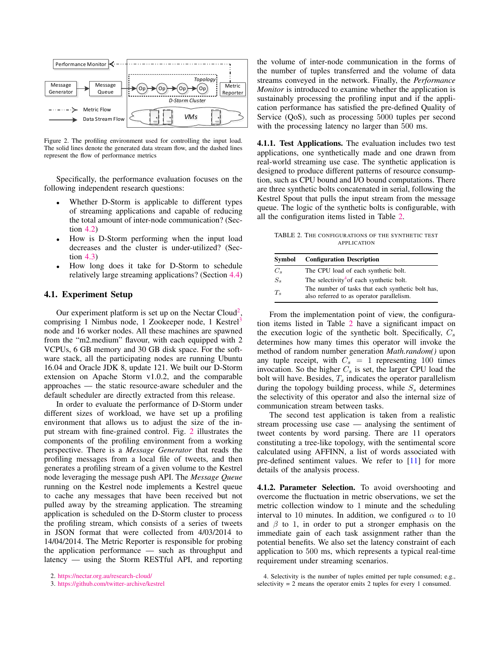

<span id="page-4-2"></span>Figure 2. The profiling environment used for controlling the input load. The solid lines denote the generated data stream flow, and the dashed lines represent the flow of performance metrics

Specifically, the performance evaluation focuses on the following independent research questions:

- Whether D-Storm is applicable to different types of streaming applications and capable of reducing the total amount of inter-node communication? (Section [4.2\)](#page-5-0)
- How is D-Storm performing when the input load decreases and the cluster is under-utilized? (Section [4.3\)](#page-6-1)
- How long does it take for D-Storm to schedule relatively large streaming applications? (Section [4.4\)](#page-6-2)

## 4.1. Experiment Setup

Our experiment platform is set up on the Nectar Cloud<sup>[2](#page-4-0)</sup>, comprising 1 Nimbus node, 1 Zookeeper node, 1 Kestrel<sup>[3](#page-4-1)</sup> node and 16 worker nodes. All these machines are spawned from the "m2.medium" flavour, with each equipped with 2 VCPUs, 6 GB memory and 30 GB disk space. For the software stack, all the participating nodes are running Ubuntu 16.04 and Oracle JDK 8, update 121. We built our D-Storm extension on Apache Storm v1.0.2, and the comparable approaches — the static resource-aware scheduler and the default scheduler are directly extracted from this release.

In order to evaluate the performance of D-Storm under different sizes of workload, we have set up a profiling environment that allows us to adjust the size of the input stream with fine-grained control. Fig. [2](#page-4-2) illustrates the components of the profiling environment from a working perspective. There is a *Message Generator* that reads the profiling messages from a local file of tweets, and then generates a profiling stream of a given volume to the Kestrel node leveraging the message push API. The *Message Queue* running on the Kestrel node implements a Kestrel queue to cache any messages that have been received but not pulled away by the streaming application. The streaming application is scheduled on the D-Storm cluster to process the profiling stream, which consists of a series of tweets in JSON format that were collected from 4/03/2014 to 14/04/2014. The Metric Reporter is responsible for probing the application performance — such as throughput and latency — using the Storm RESTful API, and reporting the volume of inter-node communication in the forms of the number of tuples transferred and the volume of data streams conveyed in the network. Finally, the *Performance Monitor* is introduced to examine whether the application is sustainably processing the profiling input and if the application performance has satisfied the pre-defined Quality of Service (QoS), such as processing 5000 tuples per second with the processing latency no larger than 500 ms.

4.1.1. Test Applications. The evaluation includes two test applications, one synthetically made and one drawn from real-world streaming use case. The synthetic application is designed to produce different patterns of resource consumption, such as CPU bound and I/O bound computations. There are three synthetic bolts concatenated in serial, following the Kestrel Spout that pulls the input stream from the message queue. The logic of the synthetic bolts is configurable, with all the configuration items listed in Table [2.](#page-4-3)

<span id="page-4-3"></span>TABLE 2. THE CONFIGURATIONS OF THE SYNTHETIC TEST APPLICATION

| Symbol  | <b>Configuration Description</b>                                                               |  |  |  |  |
|---------|------------------------------------------------------------------------------------------------|--|--|--|--|
| $C_{s}$ | The CPU load of each synthetic bolt.                                                           |  |  |  |  |
| $S_{s}$ | The selectivity <sup>4</sup> of each synthetic bolt.                                           |  |  |  |  |
| $T_{s}$ | The number of tasks that each synthetic bolt has,<br>also referred to as operator parallelism. |  |  |  |  |

From the implementation point of view, the configuration items listed in Table [2](#page-4-3) have a significant impact on the execution logic of the synthetic bolt. Specifically,  $C_s$ determines how many times this operator will invoke the method of random number generation *Math.random()* upon any tuple receipt, with  $C_s = 1$  representing 100 times invocation. So the higher  $C_s$  is set, the larger CPU load the bolt will have. Besides,  $T_s$  indicates the operator parallelism during the topology building process, while  $S<sub>s</sub>$  determines the selectivity of this operator and also the internal size of communication stream between tasks.

The second test application is taken from a realistic stream processing use case — analysing the sentiment of tweet contents by word parsing. There are 11 operators constituting a tree-like topology, with the sentimental score calculated using AFFINN, a list of words associated with pre-defined sentiment values. We refer to [\[11\]](#page-7-8) for more details of the analysis process.

4.1.2. Parameter Selection. To avoid overshooting and overcome the fluctuation in metric observations, we set the metric collection window to 1 minute and the scheduling interval to 10 minutes. In addition, we configured  $\alpha$  to 10 and  $\beta$  to 1, in order to put a stronger emphasis on the immediate gain of each task assignment rather than the potential benefits. We also set the latency constraint of each application to 500 ms, which represents a typical real-time requirement under streaming scenarios.

<span id="page-4-0"></span><sup>2.</sup> <https://nectar.org.au/research-cloud/>

<span id="page-4-1"></span><sup>3.</sup> <https://github.com/twitter-archive/kestrel>

<span id="page-4-4"></span><sup>4.</sup> Selectivity is the number of tuples emitted per tuple consumed; e.g., selectivity = 2 means the operator emits 2 tuples for every 1 consumed.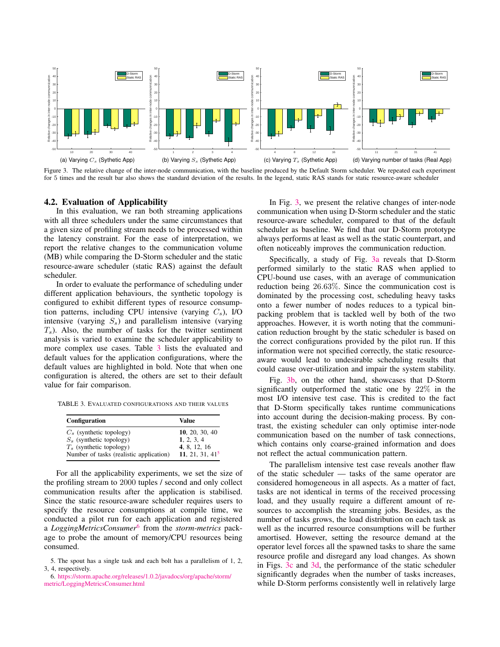<span id="page-5-5"></span>

<span id="page-5-6"></span><span id="page-5-4"></span>Figure 3. The relative change of the inter-node communication, with the baseline produced by the Default Storm scheduler. We repeated each experiment for 5 times and the result bar also shows the standard deviation of the results. In the legend, static RAS stands for static resource-aware scheduler

#### <span id="page-5-0"></span>4.2. Evaluation of Applicability

In this evaluation, we ran both streaming applications with all three schedulers under the same circumstances that a given size of profiling stream needs to be processed within the latency constraint. For the ease of interpretation, we report the relative changes to the communication volume (MB) while comparing the D-Storm scheduler and the static resource-aware scheduler (static RAS) against the default scheduler.

In order to evaluate the performance of scheduling under different application behaviours, the synthetic topology is configured to exhibit different types of resource consumption patterns, including CPU intensive (varying  $C_s$ ), I/O intensive (varying  $S_s$ ) and parallelism intensive (varying  $T<sub>s</sub>$ ). Also, the number of tasks for the twitter sentiment analysis is varied to examine the scheduler applicability to more complex use cases. Table [3](#page-5-1) lists the evaluated and default values for the application configurations, where the default values are highlighted in bold. Note that when one configuration is altered, the others are set to their default value for fair comparison.

TABLE 3. EVALUATED CONFIGURATIONS AND THEIR VALUES

<span id="page-5-1"></span>

| Configuration                           | Value             |
|-----------------------------------------|-------------------|
| $C_s$ (synthetic topology)              | 10, 20, 30, 40    |
| $S_s$ (synthetic topology)              | 1, 2, 3, 4        |
| $T_s$ (synthetic topology)              | 4, 8, 12, 16      |
| Number of tasks (realistic application) | 11, 21, 31, $415$ |

For all the applicability experiments, we set the size of the profiling stream to 2000 tuples / second and only collect communication results after the application is stabilised. Since the static resource-aware scheduler requires users to specify the resource consumptions at compile time, we conducted a pilot run for each application and registered a *LoggingMetricsConsumer*[6](#page-5-3) from the *storm-metrics* package to probe the amount of memory/CPU resources being consumed.

<span id="page-5-8"></span><span id="page-5-7"></span>In Fig. [3,](#page-5-4) we present the relative changes of inter-node communication when using D-Storm scheduler and the static resource-aware scheduler, compared to that of the default scheduler as baseline. We find that our D-Storm prototype always performs at least as well as the static counterpart, and often noticeably improves the communication reduction.

Specifically, a study of Fig. [3a](#page-5-5) reveals that D-Storm performed similarly to the static RAS when applied to CPU-bound use cases, with an average of communication reduction being 26.63%. Since the communication cost is dominated by the processing cost, scheduling heavy tasks onto a fewer number of nodes reduces to a typical binpacking problem that is tackled well by both of the two approaches. However, it is worth noting that the communication reduction brought by the static scheduler is based on the correct configurations provided by the pilot run. If this information were not specified correctly, the static resourceaware would lead to undesirable scheduling results that could cause over-utilization and impair the system stability.

Fig. [3b,](#page-5-6) on the other hand, showcases that D-Storm significantly outperformed the static one by 22% in the most I/O intensive test case. This is credited to the fact that D-Storm specifically takes runtime communications into account during the decision-making process. By contrast, the existing scheduler can only optimise inter-node communication based on the number of task connections, which contains only coarse-grained information and does not reflect the actual communication pattern.

The parallelism intensive test case reveals another flaw of the static scheduler — tasks of the same operator are considered homogeneous in all aspects. As a matter of fact, tasks are not identical in terms of the received processing load, and they usually require a different amount of resources to accomplish the streaming jobs. Besides, as the number of tasks grows, the load distribution on each task as well as the incurred resource consumptions will be further amortised. However, setting the resource demand at the operator level forces all the spawned tasks to share the same resource profile and disregard any load changes. As shown in Figs. [3c](#page-5-7) and [3d,](#page-5-8) the performance of the static scheduler significantly degrades when the number of tasks increases, while D-Storm performs consistently well in relatively large

<span id="page-5-2"></span><sup>5.</sup> The spout has a single task and each bolt has a parallelism of 1, 2, 3, 4, respectively.

<span id="page-5-3"></span><sup>6.</sup> [https://storm.apache.org/releases/1.0.2/javadocs/org/apache/storm/](https://storm.apache.org/releases/1.0.2/javadocs/org/apache/storm/metric/LoggingMetricsConsumer.html) [metric/LoggingMetricsConsumer.html](https://storm.apache.org/releases/1.0.2/javadocs/org/apache/storm/metric/LoggingMetricsConsumer.html)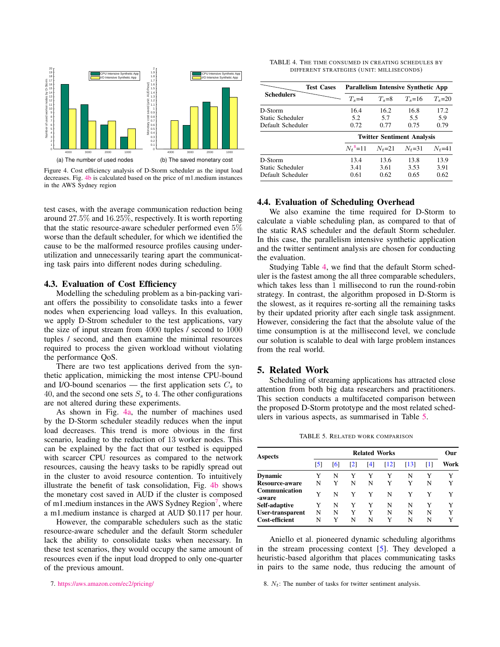<span id="page-6-4"></span>

<span id="page-6-3"></span>Figure 4. Cost efficiency analysis of D-Storm scheduler as the input load decreases. Fig. [4b](#page-6-3) is calculated based on the price of m1.medium instances in the AWS Sydney region

test cases, with the average communication reduction being around 27.5% and 16.25%, respectively. It is worth reporting that the static resource-aware scheduler performed even 5% worse than the default scheduler, for which we identified the cause to be the malformed resource profiles causing underutilization and unnecessarily tearing apart the communicating task pairs into different nodes during scheduling.

### <span id="page-6-1"></span>4.3. Evaluation of Cost Efficiency

Modelling the scheduling problem as a bin-packing variant offers the possibility to consolidate tasks into a fewer nodes when experiencing load valleys. In this evaluation, we apply D-Strom scheduler to the test applications, vary the size of input stream from 4000 tuples / second to 1000 tuples / second, and then examine the minimal resources required to process the given workload without violating the performance QoS.

There are two test applications derived from the synthetic application, mimicking the most intense CPU-bound and I/O-bound scenarios — the first application sets  $C_s$  to 40, and the second one sets  $S<sub>s</sub>$  to 4. The other configurations are not altered during these experiments.

As shown in Fig. [4a,](#page-6-4) the number of machines used by the D-Storm scheduler steadily reduces when the input load decreases. This trend is more obvious in the first scenario, leading to the reduction of 13 worker nodes. This can be explained by the fact that our testbed is equipped with scarcer CPU resources as compared to the network resources, causing the heavy tasks to be rapidly spread out in the cluster to avoid resource contention. To intuitively illustrate the benefit of task consolidation, Fig. [4b](#page-6-3) shows the monetary cost saved in AUD if the cluster is composed of m1.medium instances in the AWS Sydney Region<sup>[7](#page-6-5)</sup>, where a m1.medium instance is charged at AUD \$0.117 per hour.

However, the comparable schedulers such as the static resource-aware scheduler and the default Storm scheduler lack the ability to consolidate tasks when necessary. In these test scenarios, they would occupy the same amount of resources even if the input load dropped to only one-quarter of the previous amount.

<span id="page-6-5"></span>7. <https://aws.amazon.com/ec2/pricing/>

<span id="page-6-7"></span>TABLE 4. THE TIME CONSUMED IN CREATING SCHEDULES BY DIFFERENT STRATEGIES (UNIT: MILLISECONDS)

| <b>Test Cases</b> |                        | Parallelism Intensive Synthetic App |            |            |  |  |  |
|-------------------|------------------------|-------------------------------------|------------|------------|--|--|--|
| <b>Schedulers</b> | $T_s = 4$              | $T_s = 8$                           | $T_s = 16$ | $T_s = 20$ |  |  |  |
| D-Storm           | 16.4                   | 16.2                                | 16.8       | 17.2       |  |  |  |
| Static Scheduler  | 5.2                    | 5.7                                 | 5.5        | 5.9        |  |  |  |
| Default Scheduler | 0.72                   | 0.77                                | 0.75       | 0.79       |  |  |  |
|                   |                        | <b>Twitter Sentiment Analysis</b>   |            |            |  |  |  |
|                   | $N_t$ <sup>8</sup> =11 | $N_t = 21$                          | $N_t = 31$ | $N_t = 41$ |  |  |  |
| D-Storm           | 13.4                   | 13.6                                | 13.8       | 13.9       |  |  |  |
| Static Scheduler  | 3.41                   | 3.61                                | 3.53       | 3.91       |  |  |  |
| Default Scheduler | 0.61                   | 0.62                                | 0.65       | 0.62       |  |  |  |

#### <span id="page-6-2"></span>4.4. Evaluation of Scheduling Overhead

We also examine the time required for D-Storm to calculate a viable scheduling plan, as compared to that of the static RAS scheduler and the default Storm scheduler. In this case, the parallelism intensive synthetic application and the twitter sentiment analysis are chosen for conducting the evaluation.

Studying Table [4,](#page-6-7) we find that the default Storm scheduler is the fastest among the all three comparable schedulers, which takes less than 1 millisecond to run the round-robin strategy. In contrast, the algorithm proposed in D-Storm is the slowest, as it requires re-sorting all the remaining tasks by their updated priority after each single task assignment. However, considering the fact that the absolute value of the time consumption is at the millisecond level, we conclude our solution is scalable to deal with large problem instances from the real world.

# <span id="page-6-0"></span>5. Related Work

Scheduling of streaming applications has attracted close attention from both big data researchers and practitioners. This section conducts a multifaceted comparison between the proposed D-Storm prototype and the most related schedulers in various aspects, as summarised in Table [5.](#page-6-8)

<span id="page-6-8"></span>TABLE 5. RELATED WORK COMPARISON

| <b>Aspects</b>          | <b>Related Works</b> |     |     |     |      |      | Our |      |
|-------------------------|----------------------|-----|-----|-----|------|------|-----|------|
|                         | [5]                  | [6] | [2] | [4] | [12] | [13] | Ш   | Work |
| <b>Dynamic</b>          | Y                    | N   | Y   | Y   | Y    | N    | Y   | Y    |
| Resource-aware          | N                    | Y   | N   | N   | Y    | Y    | N   | Y    |
| Communication<br>-aware | Y                    | N   | Y   | Y   | N    | Y    | Y   | Y    |
| Self-adaptive           | Y                    | N   | Y   | Y   | N    | N    | Y   | Y    |
| User-transparent        | N                    | N   | Y   | Y   | N    | N    | N   | Y    |
| <b>Cost-efficient</b>   | N                    | Y   | N   | N   | Y    | N    | N   | Y    |

Aniello et al. pioneered dynamic scheduling algorithms in the stream processing context [\[5\]](#page-7-1). They developed a heuristic-based algorithm that places communicating tasks in pairs to the same node, thus reducing the amount of

<span id="page-6-6"></span>8.  $N_t$ : The number of tasks for twitter sentiment analysis.